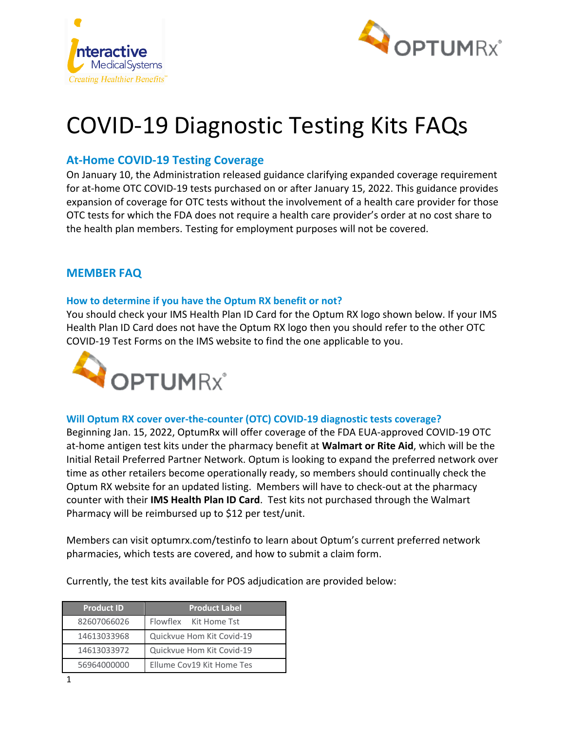



# COVID-19 Diagnostic Testing Kits FAQs

# **At-Home COVID-19 Testing Coverage**

On January 10, the Administration released guidance clarifying expanded coverage requirement for at-home OTC COVID-19 tests purchased on or after January 15, 2022. This guidance provides expansion of coverage for OTC tests without the involvement of a health care provider for those OTC tests for which the FDA does not require a health care provider's order at no cost share to the health plan members. Testing for employment purposes will not be covered.

# **MEMBER FAQ**

# **How to determine if you have the Optum RX benefit or not?**

You should check your IMS Health Plan ID Card for the Optum RX logo shown below. If your IMS Health Plan ID Card does not have the Optum RX logo then you should refer to the other OTC COVID-19 Test Forms on the IMS website to find the one applicable to you.



# **Will Optum RX cover over-the-counter (OTC) COVID-19 diagnostic tests coverage?**

Beginning Jan. 15, 2022, OptumRx will offer coverage of the FDA EUA-approved COVID-19 OTC at-home antigen test kits under the pharmacy benefit at **Walmart or Rite Aid**, which will be the Initial Retail Preferred Partner Network. Optum is looking to expand the preferred network over time as other retailers become operationally ready, so members should continually check the Optum RX website for an updated listing. Members will have to check-out at the pharmacy counter with their **IMS Health Plan ID Card**. Test kits not purchased through the Walmart Pharmacy will be reimbursed up to \$12 per test/unit.

Members can visit optumrx.com/testinfo to learn about Optum's current preferred network pharmacies, which tests are covered, and how to submit a claim form.

| <b>Product ID</b> | <b>Product Label</b>      |
|-------------------|---------------------------|
| 82607066026       | Flowflex Kit Home Tst     |
| 14613033968       | Quickvue Hom Kit Covid-19 |
| 14613033972       | Quickvue Hom Kit Covid-19 |
| 56964000000       | Ellume Cov19 Kit Home Tes |

Currently, the test kits available for POS adjudication are provided below: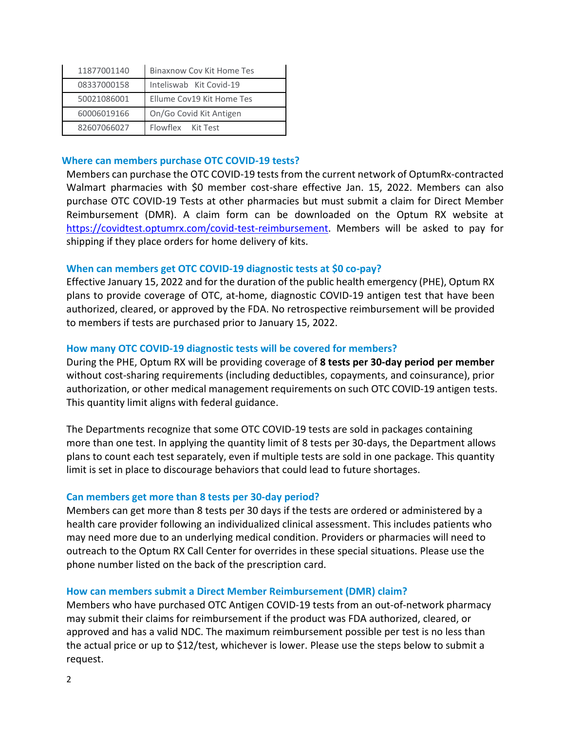| 11877001140 | <b>Binaxnow Cov Kit Home Tes</b> |
|-------------|----------------------------------|
| 08337000158 | Inteliswab Kit Covid-19          |
| 50021086001 | Ellume Cov19 Kit Home Tes        |
| 60006019166 | On/Go Covid Kit Antigen          |
| 82607066027 | Flowflex Kit Test                |

### **Where can members purchase OTC COVID-19 tests?**

Members can purchase the OTC COVID-19 tests from the current network of OptumRx-contracted Walmart pharmacies with \$0 member cost-share effective Jan. 15, 2022. Members can also purchase OTC COVID-19 Tests at other pharmacies but must submit a claim for Direct Member Reimbursement (DMR). A claim form can be downloaded on the Optum RX website at [https://covidtest.optumrx.com/covid-test-reimbursement.](https://covidtest.optumrx.com/covid-test-reimbursement) Members will be asked to pay for shipping if they place orders for home delivery of kits.

#### **When can members get OTC COVID-19 diagnostic tests at \$0 co-pay?**

Effective January 15, 2022 and for the duration of the public health emergency (PHE), Optum RX plans to provide coverage of OTC, at-home, diagnostic COVID-19 antigen test that have been authorized, cleared, or approved by the FDA. No retrospective reimbursement will be provided to members if tests are purchased prior to January 15, 2022.

#### **How many OTC COVID-19 diagnostic tests will be covered for members?**

During the PHE, Optum RX will be providing coverage of **8 tests per 30-day period per member** without cost-sharing requirements (including deductibles, copayments, and coinsurance), prior authorization, or other medical management requirements on such OTC COVID-19 antigen tests. This quantity limit aligns with federal guidance.

The Departments recognize that some OTC COVID-19 tests are sold in packages containing more than one test. In applying the quantity limit of 8 tests per 30-days, the Department allows plans to count each test separately, even if multiple tests are sold in one package. This quantity limit is set in place to discourage behaviors that could lead to future shortages.

#### **Can members get more than 8 tests per 30-day period?**

Members can get more than 8 tests per 30 days if the tests are ordered or administered by a health care provider following an individualized clinical assessment. This includes patients who may need more due to an underlying medical condition. Providers or pharmacies will need to outreach to the Optum RX Call Center for overrides in these special situations. Please use the phone number listed on the back of the prescription card.

#### **How can members submit a Direct Member Reimbursement (DMR) claim?**

Members who have purchased OTC Antigen COVID-19 tests from an out-of-network pharmacy may submit their claims for reimbursement if the product was FDA authorized, cleared, or approved and has a valid NDC. The maximum reimbursement possible per test is no less than the actual price or up to \$12/test, whichever is lower. Please use the steps below to submit a request.